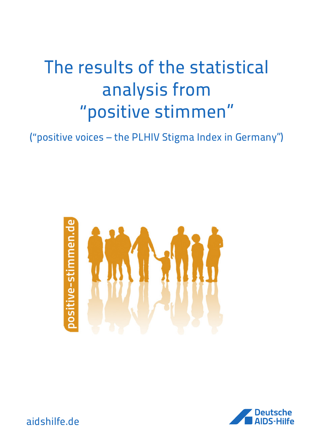# The results of the statistical analysis from "positive stimmen"

("positive voices – the PLHIV Stigma Index in Germany")





aidshilfe.de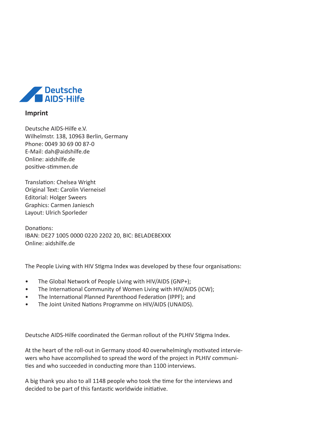

#### **Imprint**

Deutsche AIDS-Hilfe e.V. Wilhelmstr. 138, 10963 Berlin, Germany Phone: 0049 30 69 00 87-0 E-Mail: dah@aidshilfe.de Online: aidshilfe.de positive-stimmen.de

Translation: Chelsea Wright Original Text: Carolin Vierneisel Editorial: Holger Sweers Graphics: Carmen Janiesch Layout: Ulrich Sporleder

Donations: IBAN: DE27 1005 0000 0220 2202 20, BIC: BELADEBEXXX Online: aidshilfe.de

The People Living with HIV Stigma Index was developed by these four organisations:

- The Global Network of People Living with HIV/AIDS (GNP+);
- The International Community of Women Living with HIV/AIDS (ICW);
- The International Planned Parenthood Federation (IPPF); and
- The Joint United Nations Programme on HIV/AIDS (UNAIDS).

Deutsche AIDS-Hilfe coordinated the German rollout of the PLHIV Stigma Index.

At the heart of the roll-out in Germany stood 40 overwhelmingly motivated interviewers who have accomplished to spread the word of the project in PLHIV communities and who succeeded in conducting more than 1100 interviews.

A big thank you also to all 1148 people who took the time for the interviews and decided to be part of this fantastic worldwide initiative.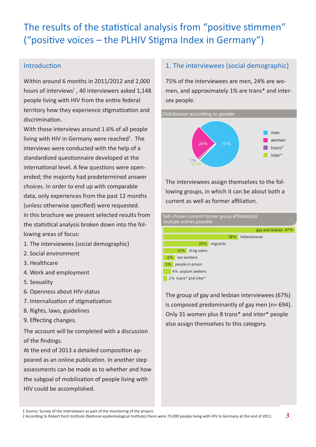# The results of the statistical analysis from "positive stimmen" ("positive voices – the PLHIV Stigma Index in Germany")

## Introduction

Within around 6 months in 2011/2012 and 2,000 hours of interviews<sup>1</sup>, 40 interviewers asked  $1,148$ people living with HIV from the entire federal territory how they experience stigmatization and discrimination.

With these interviews around 1.6% of all people living with HIV in Germany were reached<sup>2</sup>. The interviews were conducted with the help of a standardized questionnaire developed at the international level. A few questions were openended; the majority had predetermined answer choices. In order to end up with comparable data, only experiences from the past 12 months (unless otherwise specified) were requested. In this brochure we present selected results from the statistical analysis broken down into the fol-

lowing areas of focus:

- 1. The interviewees (social demographic)
- 2. Social environment
- 3. Healthcare
- 4. Work and employment
- 5. Sexuality
- 6. Openness about HIV-status
- 7. Internalization of stigmatization
- 8. Rights, laws, guidelines
- 9. Effecting changes.

The account will be completed with a discussion of the findings.

At the end of 2013 a detailed composition appeared as an online publication. In another step assessments can be made as to whether and how the subgoal of mobilization of people living with HIV could be accomplished.

## 1. The interviewees (social demographic)

75% of the interviewees are men, 24% are women, and approximately 1% are trans\* and intersex people.





The interviewees assign themselves to the following groups, in which it can be about both a current as well as former affiliation.



The group of gay and lesbian interviewees (67%) is composed predominantly of gay men (n= 694). Only 31 women plus 8 trans\* and inter\* people also assign themselves to this category.

 <sup>1</sup> Source: Survey of the interviewers as part of the monitoring of the project.

2 According to Robert Koch Institute (National epidemiological Institute) there were 73.000 people living with HIV in Germany at the end of 2011.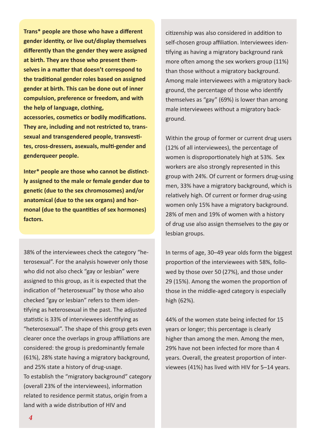**Trans\* people are those who have a different gender identity, or live out/display themselves differently than the gender they were assigned at birth. They are those who present themselves in a matter that doesn't correspond to the traditional gender roles based on assigned gender at birth. This can be done out of inner compulsion, preference or freedom, and with the help of language, clothing,** 

**accessories, cosmetics or bodily modifications. They are, including and not restricted to, transsexual and transgendered people, transvestites, cross-dressers, asexuals, multi-gender and genderqueer people.** 

**Inter\* people are those who cannot be distinctly assigned to the male or female gender due to genetic (due to the sex chromosomes) and/or anatomical (due to the sex organs) and hormonal (due to the quantities of sex hormones) factors.**

38% of the interviewees check the category "heterosexual". For the analysis however only those who did not also check "gay or lesbian" were assigned to this group, as it is expected that the indication of "heterosexual" by those who also checked "gay or lesbian" refers to them identifying as heterosexual in the past. The adjusted statistic is 33% of interviewees identifying as "heterosexual". The shape of this group gets even clearer once the overlaps in group affiliations are considered: the group is predominantly female (61%), 28% state having a migratory background, and 25% state a history of drug-usage. To establish the "migratory background" category (overall 23% of the interviewees), information related to residence permit status, origin from a land with a wide distribution of HIV and

citizenship was also considered in addition to self-chosen group affiliation. Interviewees identifying as having a migratory background rank more often among the sex workers group (11%) than those without a migratory background. Among male interviewees with a migratory background, the percentage of those who identify themselves as "gay" (69%) is lower than among male interviewees without a migratory background.

Within the group of former or current drug users (12% of all interviewees), the percentage of women is disproportionately high at 53%. Sex workers are also strongly represented in this group with 24%. Of current or formers drug-using men, 33% have a migratory background, which is relatively high. Of current or former drug-using women only 15% have a migratory background. 28% of men and 19% of women with a history of drug use also assign themselves to the gay or lesbian groups.

In terms of age, 30–49 year olds form the biggest proportion of the interviewees with 58%, followed by those over 50 (27%), and those under 29 (15%). Among the women the proportion of those in the middle-aged category is especially high (62%).

44% of the women state being infected for 15 years or longer; this percentage is clearly higher than among the men. Among the men, 29% have not been infected for more than 4 years. Overall, the greatest proportion of interviewees (41%) has lived with HIV for 5–14 years.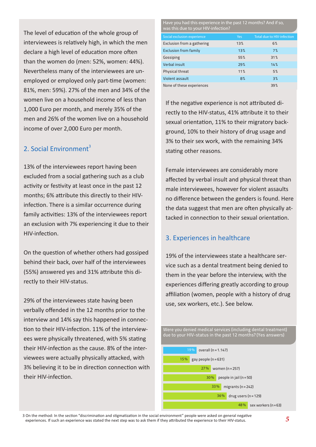The level of education of the whole group of interviewees is relatively high, in which the men declare a high level of education more often than the women do (men: 52%, women: 44%). Nevertheless many of the interviewees are unemployed or employed only part-time (women: 81%, men: 59%). 27% of the men and 34% of the women live on a household income of less than 1,000 Euro per month, and merely 35% of the men and 26% of the women live on a household income of over 2,000 Euro per month.

# 2. Social Environment $3$

13% of the interviewees report having been excluded from a social gathering such as a club activity or festivity at least once in the past 12 months; 6% attribute this directly to their HIVinfection. There is a similar occurrence during family activities: 13% of the interviewees report an exclusion with 7% experiencing it due to their HIV-infection.

On the question of whether others had gossiped behind their back, over half of the interviewees (55%) answered yes and 31% attribute this directly to their HIV-status.

29% of the interviewees state having been verbally offended in the 12 months prior to the interview and 14% say this happened in connection to their HIV-infection. 11% of the interviewees were physically threatened, with 5% stating their HIV-infection as the cause. 8% of the interviewees were actually physically attacked, with 3% believing it to be in direction connection with their HIV-infection.

Have you had this experience in the past 12 months? And if so, was this due to your HIV-infection?

| Social exclusion experience  | <b>Yes</b> | <b>Total due to HIV-infection</b> |
|------------------------------|------------|-----------------------------------|
| Exclusion from a gathering   | 13%        | 6%                                |
| <b>Exclusion from family</b> | 13%        | 7%                                |
| Gossiping                    | 55%        | 31%                               |
| <b>Verbal insult</b>         | 29%        | 14%                               |
| Physical threat              | 11%        | 5%                                |
| <b>Violent assault</b>       | 8%         | 3%                                |
| None of these experiences    |            | 39%                               |

If the negative experience is not attributed directly to the HIV-status, 41% attribute it to their sexual orientation, 11% to their migratory background, 10% to their history of drug usage and 3% to their sex work, with the remaining 34% stating other reasons.

Female interviewees are considerably more affected by verbal insult and physical threat than male interviewees, however for violent assaults no difference between the genders is found. Here the data suggest that men are often physically attacked in connection to their sexual orientation.

#### 3. Experiences in healthcare

19% of the interviewees state a healthcare service such as a dental treatment being denied to them in the year before the interview, with the experiences differing greatly according to group affiliation (women, people with a history of drug use, sex workers, etc.). See below.



 3 On the method: In the section "discrimination and stigmatization in the social environment" people were asked on general negative experiences. If such an experience was stated the next step was to ask them if they attributed the experience to their HIV-status.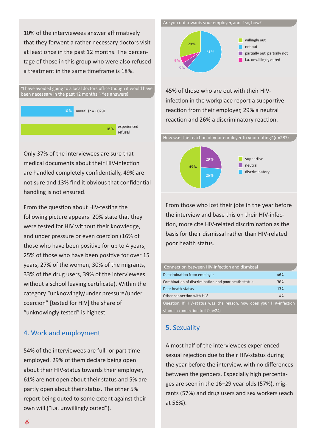10% of the interviewees answer affirmatively that they forwent a rather necessary doctors visit at least once in the past 12 months. The percentage of those in this group who were also refused a treatment in the same timeframe is 18%.



Only 37% of the interviewees are sure that medical documents about their HIV-infection are handled completely confidentially, 49% are not sure and 13% find it obvious that confidential handling is not ensured.

From the question about HIV-testing the following picture appears: 20% state that they were tested for HIV without their knowledge, and under pressure or even coercion (16% of those who have been positive for up to 4 years, 25% of those who have been positive for over 15 years, 27% of the women, 30% of the migrants, 33% of the drug users, 39% of the interviewees without a school leaving certificate). Within the category "unknowingly/under pressure/under coercion" [tested for HIV] the share of "unknowingly tested" is highest.

#### 4. Work and employment

54% of the interviewees are full- or part-time employed. 29% of them declare being open about their HIV-status towards their employer, 61% are not open about their status and 5% are partly open about their status. The other 5% report being outed to some extent against their own will ("i.a. unwillingly outed").

Are you out towards your employer, and if so, how?



45% of those who are out with their HIVinfection in the workplace report a supportive reaction from their employer, 29% a neutral reaction and 26% a discriminatory reaction.





From those who lost their jobs in the year before the interview and base this on their HIV-infection, more cite HIV-related discrimination as the basis for their dismissal rather than HIV-related poor health status.

| Connection between HIV-infection and dismissal                      |     |
|---------------------------------------------------------------------|-----|
| Discrimination from employer                                        | 46% |
| Combination of discrimination and poor heath status                 | 38% |
| Poor heath status                                                   | 13% |
| Other connection with HIV                                           | 4%  |
| Question: If HIV-status was the reason, how does your HIV-infection |     |
| stand in connection to it? (n=24)                                   |     |

# 5. Sexuality

Almost half of the interviewees experienced sexual rejection due to their HIV-status during the year before the interview, with no differences between the genders. Especially high percentages are seen in the 16–29 year olds (57%), migrants (57%) and drug users and sex workers (each at 56%).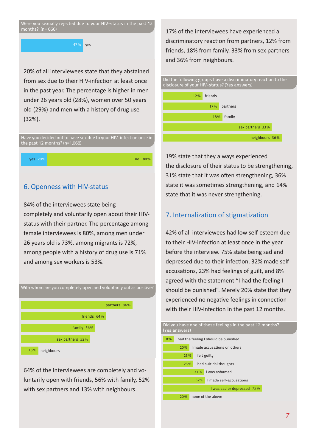Were you sexually rejected due to your HIV-status in the past 12 months? (n=666)

47% yes

20% of all interviewees state that they abstained from sex due to their HIV-infection at least once in the past year. The percentage is higher in men under 26 years old (28%), women over 50 years old (29%) and men with a history of drug use (32%).



yes 20% no 80%

#### 6. Openness with HIV-status

84% of the interviewees state being completely and voluntarily open about their HIVstatus with their partner. The percentage among female interviewees is 80%, among men under 26 years old is 73%, among migrants is 72%, among people with a history of drug use is 71% and among sex workers is 53%.



64% of the interviewees are completely and voluntarily open with friends, 56% with family, 52% with sex partners and 13% with neighbours.

17% of the interviewees have experienced a discriminatory reaction from partners, 12% from friends, 18% from family, 33% from sex partners and 36% from neighbours.



19% state that they always experienced the disclosure of their status to be strengthening, 31% state that it was often strengthening, 36% state it was sometimes strengthening, and 14% state that it was never strengthening.

#### 7. Internalization of stigmatization

42% of all interviewees had low self-esteem due to their HIV-infection at least once in the year before the interview. 75% state being sad and depressed due to their infection, 32% made selfaccusations, 23% had feelings of guilt, and 8% agreed with the statement "I had the feeling I should be punished". Merely 20% state that they experienced no negative feelings in connection with their HIV-infection in the past 12 months.

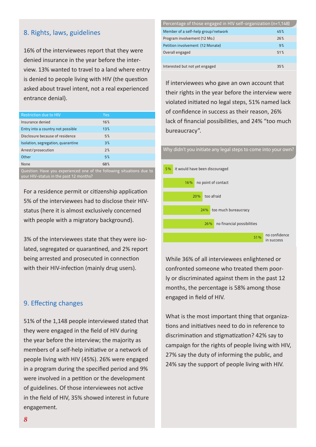#### 8. Rights, laws, guidelines

16% of the interviewees report that they were denied insurance in the year before the interview. 13% wanted to travel to a land where entry is denied to people living with HIV (the question asked about travel intent, not a real experienced entrance denial).

| Restriction due to HIV             | <b>Yes</b> |  |
|------------------------------------|------------|--|
| Insurance denied                   | 16%        |  |
| Entry into a country not possible  | 13%        |  |
| Disclosure because of residence    | 5%         |  |
| Isolation, segregation, quarantine | 3%         |  |
| Arrest/prosecution                 | 7%         |  |
| Other                              | 5%         |  |
| <b>None</b>                        | 68%        |  |

Question: Have you experienced one of the following situations due to your HIV-status in the past 12 months?

For a residence permit or citizenship application 5% of the interviewees had to disclose their HIVstatus (here it is almost exclusively concerned with people with a migratory background).

3% of the interviewees state that they were isolated, segregated or quarantined, and 2% report being arrested and prosecuted in connection with their HIV-infection (mainly drug users).

#### 9. Effecting changes

51% of the 1,148 people interviewed stated that they were engaged in the field of HIV during the year before the interview; the majority as members of a self-help initiative or a network of people living with HIV (45%). 26% were engaged in a program during the specified period and 9% were involved in a petition or the development of guidelines. Of those interviewees not active in the field of HIV, 35% showed interest in future engagement.

| Percentage of those engaged in HIV self-organization (n=1,148) |     |  |
|----------------------------------------------------------------|-----|--|
| Member of a self-help group/network                            | 45% |  |
| Program involvement (12 Mo.)                                   | 26% |  |
| Petition involvement (12 Monate)                               | 9%  |  |
| Overall engaged                                                | 51% |  |
|                                                                |     |  |
| Interested but not yet engaged                                 | 35% |  |

If interviewees who gave an own account that their rights in the year before the interview were violated initiated no legal steps, 51% named lack of confidence in success as their reason, 26% lack of financial possibilities, and 24% "too much bureaucracy".

#### Why didn't you initiate any legal steps to come into your own?



While 36% of all interviewees enlightened or confronted someone who treated them poorly or discriminated against them in the past 12 months, the percentage is 58% among those engaged in field of HIV.

What is the most important thing that organizations and initiatives need to do in reference to discrimination and stigmatization? 42% say to campaign for the rights of people living with HIV, 27% say the duty of informing the public, and 24% say the support of people living with HIV.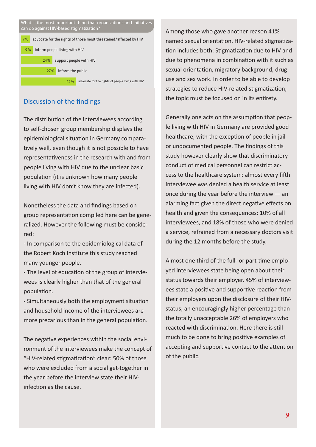

# Discussion of the findings

The distribution of the interviewees according to self-chosen group membership displays the epidemiological situation in Germany comparatively well, even though it is not possible to have representativeness in the research with and from people living with HIV due to the unclear basic population (it is unknown how many people living with HIV don't know they are infected).

Nonetheless the data and findings based on group representation compiled here can be generalized. However the following must be considered:

- In comparison to the epidemiological data of the Robert Koch Institute this study reached many younger people.

- The level of education of the group of interviewees is clearly higher than that of the general population.

- Simultaneously both the employment situation and household income of the interviewees are more precarious than in the general population.

The negative experiences within the social environment of the interviewees make the concept of "HIV-related stigmatization" clear: 50% of those who were excluded from a social get-together in the year before the interview state their HIVinfection as the cause.

Among those who gave another reason 41% named sexual orientation. HIV-related stigmatization includes both: Stigmatization due to HIV and due to phenomena in combination with it such as sexual orientation, migratory background, drug use and sex work. In order to be able to develop strategies to reduce HIV-related stigmatization, the topic must be focused on in its entirety.

Generally one acts on the assumption that people living with HIV in Germany are provided good healthcare, with the exception of people in jail or undocumented people. The findings of this study however clearly show that discriminatory conduct of medical personnel can restrict access to the healthcare system: almost every fifth interviewee was denied a health service at least once during the year before the interview  $-$  an alarming fact given the direct negative effects on health and given the consequences: 10% of all interviewees, and 18% of those who were denied a service, refrained from a necessary doctors visit during the 12 months before the study.

Almost one third of the full- or part-time employed interviewees state being open about their status towards their employer. 45% of interviewees state a positive and supportive reaction from their employers upon the disclosure of their HIVstatus; an encouragingly higher percentage than the totally unacceptable 26% of employers who reacted with discrimination. Here there is still much to be done to bring positive examples of accepting and supportive contact to the attention of the public.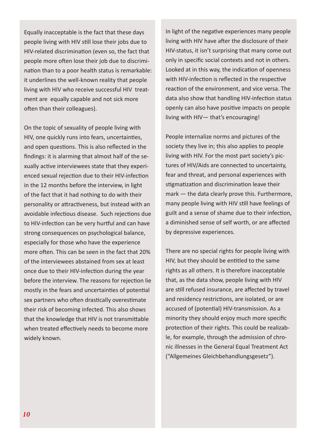Equally inacceptable is the fact that these days people living with HIV still lose their jobs due to HIV-related discrimination (even so, the fact that people more often lose their job due to discrimination than to a poor health status is remarkable: it underlines the well-known reality that people living with HIV who receive successful HIV treatment are equally capable and not sick more often than their colleagues).

On the topic of sexuality of people living with HIV, one quickly runs into fears, uncertainties, and open questions. This is also reflected in the findings: it is alarming that almost half of the sexually active interviewees state that they experienced sexual rejection due to their HIV-infection in the 12 months before the interview, in light of the fact that it had nothing to do with their personality or attractiveness, but instead with an avoidable infectious disease. Such rejections due to HIV-infection can be very hurtful and can have strong consequences on psychological balance, especially for those who have the experience more often. This can be seen in the fact that 20% of the interviewees abstained from sex at least once due to their HIV-infection during the year before the interview. The reasons for rejection lie mostly in the fears and uncertainties of potential sex partners who often drastically overestimate their risk of becoming infected. This also shows that the knowledge that HIV is not transmittable when treated effectively needs to become more widely known.

In light of the negative experiences many people living with HIV have after the disclosure of their HIV-status, it isn't surprising that many come out only in specific social contexts and not in others. Looked at in this way, the indication of openness with HIV-infection is reflected in the respective reaction of the environment, and vice versa. The data also show that handling HIV-infection status openly can also have positive impacts on people living with HIV— that's encouraging!

People internalize norms and pictures of the society they live in; this also applies to people living with HIV. For the most part society's pictures of HIV/Aids are connected to uncertainty, fear and threat, and personal experiences with stigmatization and discrimination leave their mark — the data clearly prove this. Furthermore, many people living with HIV still have feelings of guilt and a sense of shame due to their infection, a diminished sense of self worth, or are affected by depressive experiences.

There are no special rights for people living with HIV, but they should be entitled to the same rights as all others. It is therefore inacceptable that, as the data show, people living with HIV are still refused insurance, are affected by travel and residency restrictions, are isolated, or are accused of (potential) HIV-transmission. As a minority they should enjoy much more specific protection of their rights. This could be realizable, for example, through the admission of chronic illnesses in the General Equal Treatment Act ("Allgemeines Gleichbehandlungsgesetz").